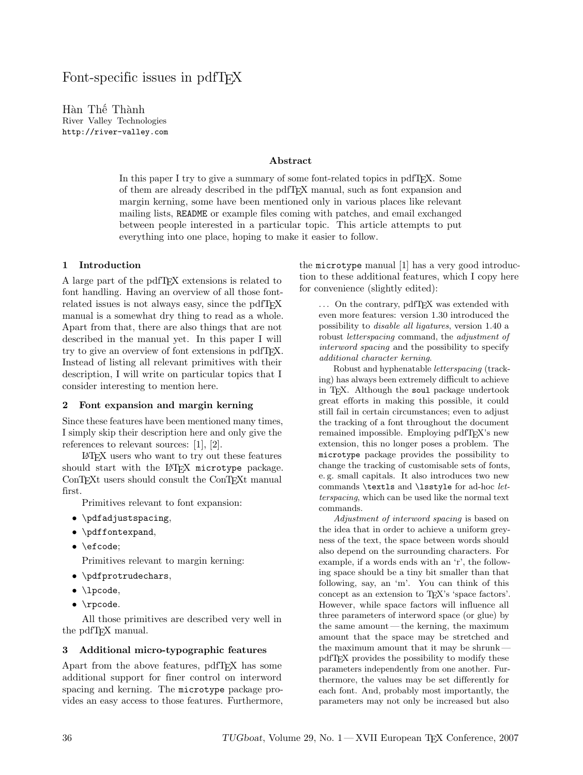# Font-specific issues in pdfT<sub>F</sub>X

Hàn Thế Thành River Valley Technologies http://river-valley.com

#### Abstract

In this paper I try to give a summary of some font-related topics in pdfTEX. Some of them are already described in the pdfTEX manual, such as font expansion and margin kerning, some have been mentioned only in various places like relevant mailing lists, README or example files coming with patches, and email exchanged between people interested in a particular topic. This article attempts to put everything into one place, hoping to make it easier to follow.

#### 1 Introduction

A large part of the pdfTEX extensions is related to font handling. Having an overview of all those fontrelated issues is not always easy, since the pdfT<sub>E</sub>X manual is a somewhat dry thing to read as a whole. Apart from that, there are also things that are not described in the manual yet. In this paper I will try to give an overview of font extensions in pdfTEX. Instead of listing all relevant primitives with their description, I will write on particular topics that I consider interesting to mention here.

## 2 Font expansion and margin kerning

Since these features have been mentioned many times, I simply skip their description here and only give the references to relevant sources: [1], [2].

LATEX users who want to try out these features should start with the LATEX microtype package. ConTEXt users should consult the ConTEXt manual first.

Primitives relevant to font expansion:

- \pdfadjustspacing,
- \pdffontexpand,
- \efcode:

Primitives relevant to margin kerning:

- \pdfprotrudechars,
- *\lpcode*,
- \rpcode.

All those primitives are described very well in the pdfTEX manual.

#### 3 Additional micro-typographic features

Apart from the above features, pdfTEX has some additional support for finer control on interword spacing and kerning. The microtype package provides an easy access to those features. Furthermore, the microtype manual [1] has a very good introduction to these additional features, which I copy here for convenience (slightly edited):

... On the contrary, pdfTFX was extended with even more features: version 1.30 introduced the possibility to disable all ligatures, version 1.40 a robust letterspacing command, the adjustment of interword spacing and the possibility to specify additional character kerning.

Robust and hyphenatable letterspacing (tracking) has always been extremely difficult to achieve in T<sub>E</sub>X. Although the soul package undertook great efforts in making this possible, it could still fail in certain circumstances; even to adjust the tracking of a font throughout the document remained impossible. Employing pdfT<sub>E</sub>X's new extension, this no longer poses a problem. The microtype package provides the possibility to change the tracking of customisable sets of fonts, e. g. small capitals. It also introduces two new commands \textls and \lsstyle for ad-hoc letterspacing, which can be used like the normal text commands.

Adjustment of interword spacing is based on the idea that in order to achieve a uniform greyness of the text, the space between words should also depend on the surrounding characters. For example, if a words ends with an 'r', the following space should be a tiny bit smaller than that following, say, an 'm'. You can think of this concept as an extension to TEX's 'space factors'. However, while space factors will influence all three parameters of interword space (or glue) by the same amount— the kerning, the maximum amount that the space may be stretched and the maximum amount that it may be shrunk pdfTEX provides the possibility to modify these parameters independently from one another. Furthermore, the values may be set differently for each font. And, probably most importantly, the parameters may not only be increased but also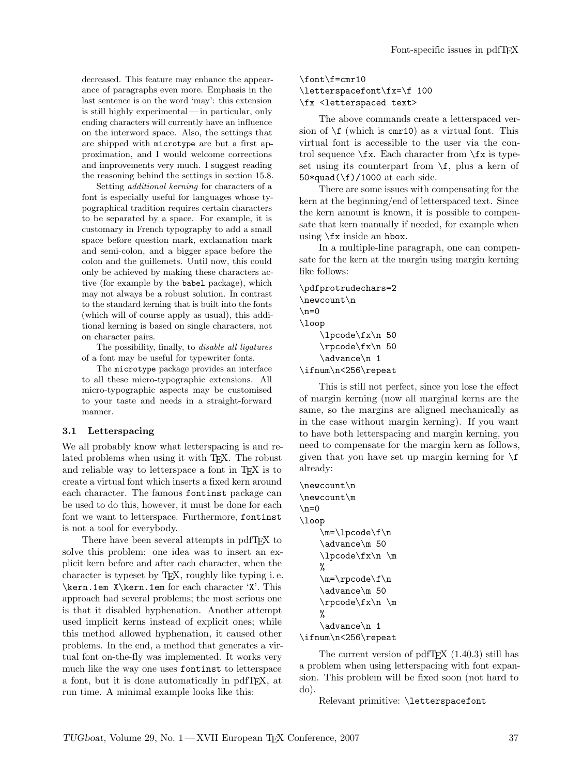decreased. This feature may enhance the appearance of paragraphs even more. Emphasis in the last sentence is on the word 'may': this extension is still highly experimental— in particular, only ending characters will currently have an influence on the interword space. Also, the settings that are shipped with microtype are but a first approximation, and I would welcome corrections and improvements very much. I suggest reading the reasoning behind the settings in section 15.8.

Setting additional kerning for characters of a font is especially useful for languages whose typographical tradition requires certain characters to be separated by a space. For example, it is customary in French typography to add a small space before question mark, exclamation mark and semi-colon, and a bigger space before the colon and the guillemets. Until now, this could only be achieved by making these characters active (for example by the babel package), which may not always be a robust solution. In contrast to the standard kerning that is built into the fonts (which will of course apply as usual), this additional kerning is based on single characters, not on character pairs.

The possibility, finally, to disable all ligatures of a font may be useful for typewriter fonts.

The microtype package provides an interface to all these micro-typographic extensions. All micro-typographic aspects may be customised to your taste and needs in a straight-forward manner.

#### 3.1 Letterspacing

We all probably know what letterspacing is and related problems when using it with T<sub>E</sub>X. The robust and reliable way to letterspace a font in T<sub>EX</sub> is to create a virtual font which inserts a fixed kern around each character. The famous fontinst package can be used to do this, however, it must be done for each font we want to letterspace. Furthermore, fontinst is not a tool for everybody.

There have been several attempts in pdfTFX to solve this problem: one idea was to insert an explicit kern before and after each character, when the character is typeset by TEX, roughly like typing i. e. \kern.1em X\kern.1em for each character 'X'. This approach had several problems; the most serious one is that it disabled hyphenation. Another attempt used implicit kerns instead of explicit ones; while this method allowed hyphenation, it caused other problems. In the end, a method that generates a virtual font on-the-fly was implemented. It works very much like the way one uses fontinst to letterspace a font, but it is done automatically in pdfTEX, at run time. A minimal example looks like this:

# \font\f=cmr10 \letterspacefont\fx=\f 100 \fx <letterspaced text>

The above commands create a letterspaced version of  $\f$  (which is cmr10) as a virtual font. This virtual font is accessible to the user via the control sequence  $\frac{K}{x}$ . Each character from  $\frac{K}{x}$  is typeset using its counterpart from  $\frown f$ , plus a kern of 50\*quad(\f)/1000 at each side.

There are some issues with compensating for the kern at the beginning/end of letterspaced text. Since the kern amount is known, it is possible to compensate that kern manually if needed, for example when using \fx inside an hbox.

In a multiple-line paragraph, one can compensate for the kern at the margin using margin kerning like follows:

\pdfprotrudechars=2 \newcount\n  $\n\n\angle$ n=0 \loop \lpcode\fx\n 50 \rpcode\fx\n 50 \advance\n 1 \ifnum\n<256\repeat

This is still not perfect, since you lose the effect of margin kerning (now all marginal kerns are the same, so the margins are aligned mechanically as in the case without margin kerning). If you want to have both letterspacing and margin kerning, you need to compensate for the margin kern as follows, given that you have set up margin kerning for  $\setminus f$ already:

```
\newcount\n
\newcount\m
\n\ln=0\loop
    \m=\lpcode\f\n
    \advance\m 50
    \lpcode\fx\n \m
    %
    \m = \rpcode{\f}{n}\advance\m 50
    \rpcode\fx\n \m
    %
    \advance\n 1
\ifnum\n<256\repeat
```
The current version of pdfT<sub>E</sub>X  $(1.40.3)$  still has a problem when using letterspacing with font expansion. This problem will be fixed soon (not hard to do).

Relevant primitive: \letterspacefont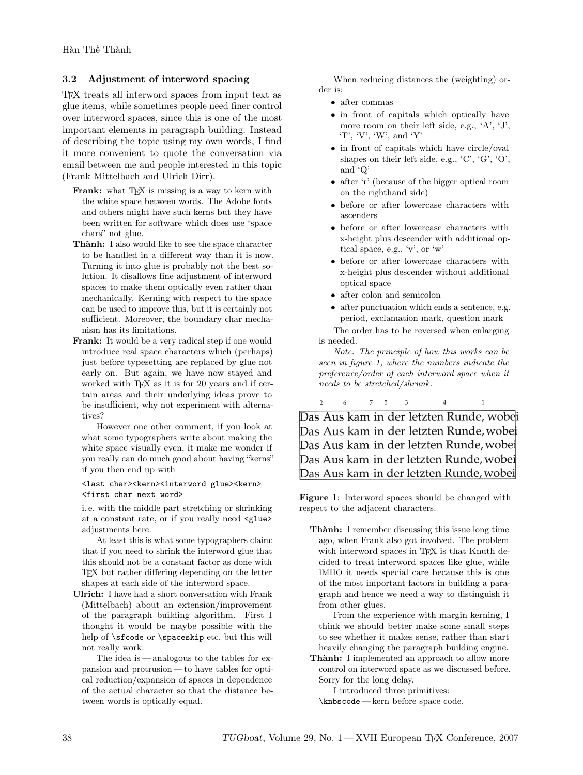# 3.2 Adjustment of interword spacing

TEX treats all interword spaces from input text as glue items, while sometimes people need finer control over interword spaces, since this is one of the most important elements in paragraph building. Instead of describing the topic using my own words, I find it more convenient to quote the conversation via email between me and people interested in this topic (Frank Mittelbach and Ulrich Dirr).

- Frank: what TFX is missing is a way to kern with the white space between words. The Adobe fonts and others might have such kerns but they have been written for software which does use "space chars" not glue.
- Thành: I also would like to see the space character to be handled in a different way than it is now. Turning it into glue is probably not the best solution. It disallows fine adjustment of interword spaces to make them optically even rather than mechanically. Kerning with respect to the space can be used to improve this, but it is certainly not sufficient. Moreover, the boundary char mechanism has its limitations.
- Frank: It would be a very radical step if one would introduce real space characters which (perhaps) just before typesetting are replaced by glue not early on. But again, we have now stayed and worked with TFX as it is for 20 years and if certain areas and their underlying ideas prove to be insufficient, why not experiment with alternatives?

However one other comment, if you look at what some typographers write about making the white space visually even, it make me wonder if you really can do much good about having "kerns" if you then end up with

#### <last char><kern><interword glue><kern> <first char next word>

i. e. with the middle part stretching or shrinking at a constant rate, or if you really need <glue> adjustments here.

At least this is what some typographers claim: that if you need to shrink the interword glue that this should not be a constant factor as done with TEX but rather differing depending on the letter shapes at each side of the interword space.

Ulrich: I have had a short conversation with Frank (Mittelbach) about an extension/improvement of the paragraph building algorithm. First I thought it would be maybe possible with the help of **\sfcode** or **\spaceskip** etc. but this will not really work.

The idea is— analogous to the tables for expansion and protrusion — to have tables for optical reduction/expansion of spaces in dependence of the actual character so that the distance between words is optically equal.

When reducing distances the (weighting) order is:

- after commas
- in front of capitals which optically have more room on their left side, e.g., 'A', 'J', 'T', 'V', 'W', and 'Y'
- in front of capitals which have circle/oval shapes on their left side, e.g., 'C', 'G', 'O', and 'Q'
- after 'r' (because of the bigger optical room on the righthand side)
- before or after lowercase characters with ascenders
- before or after lowercase characters with x-height plus descender with additional optical space, e.g., 'v', or 'w'
- before or after lowercase characters with x-height plus descender without additional optical space
- after colon and semicolon
- after punctuation which ends a sentence, e.g. period, exclamation mark, question mark

The order has to be reversed when enlarging is needed.

Note: The principle of how this works can be seen in figure 1, where the numbers indicate the preference/order of each interword space when it needs to be stretched/shrunk.

 $6<sup>1</sup>$  $7 \quad 5 \quad 3$  $\overline{\phantom{a}}$  $\overline{4}$  $\overline{1}$ 

Das Aus kam in der letzten Runde, wobei Das Aus kam in der letzten Runde, wobei Das Aus kam in der letzten Runde, wobel Das Aus kam in der letzten Runde, wobei Das Aus kam in der letzten Runde, wobei

Figure 1: Interword spaces should be changed with respect to the adjacent characters.

Thành: I remember discussing this issue long time ago, when Frank also got involved. The problem with interword spaces in TFX is that Knuth decided to treat interword spaces like glue, while IMHO it needs special care because this is one of the most important factors in building a paragraph and hence we need a way to distinguish it from other glues.

From the experience with margin kerning, I think we should better make some small steps to see whether it makes sense, rather than start heavily changing the paragraph building engine.

Thành: I implemented an approach to allow more control on interword space as we discussed before. Sorry for the long delay.

I introduced three primitives:

\knbscode — kern before space code,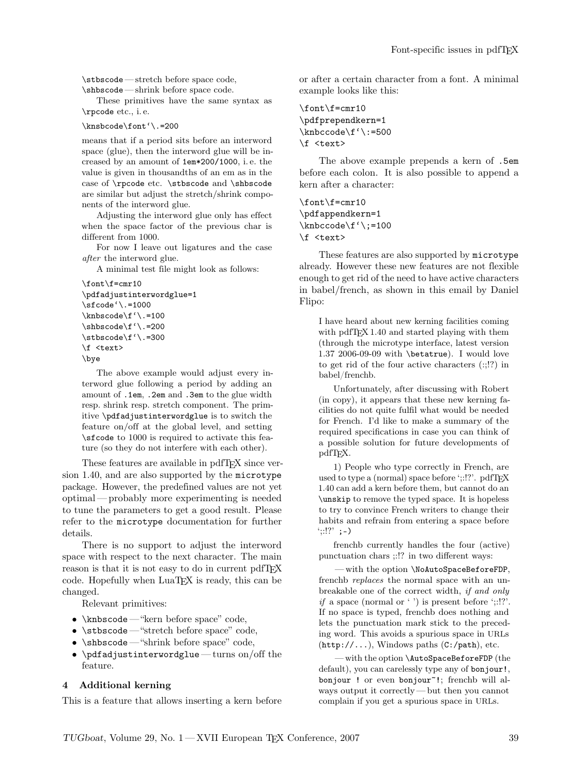\stbscode — stretch before space code, \shbscode — shrink before space code.

These primitives have the same syntax as \rpcode etc., i. e.

\knsbcode\font'\.=200

means that if a period sits before an interword space (glue), then the interword glue will be increased by an amount of 1em\*200/1000, i. e. the value is given in thousandths of an em as in the case of \rpcode etc. \stbscode and \shbscode are similar but adjust the stretch/shrink components of the interword glue.

Adjusting the interword glue only has effect when the space factor of the previous char is different from 1000.

For now I leave out ligatures and the case after the interword glue.

A minimal test file might look as follows:

```
\font\f=cmr10
\pdfadjustinterwordglue=1
\sfcode'\.=1000
\knbscode\f'\.=100
\shbscode\f'\.=200
\stbscode\f'\.=300
\f <text>
\bye
```
The above example would adjust every interword glue following a period by adding an amount of .1em, .2em and .3em to the glue width resp. shrink resp. stretch component. The primitive \pdfadjustinterwordglue is to switch the feature on/off at the global level, and setting \sfcode to 1000 is required to activate this feature (so they do not interfere with each other).

These features are available in pdfTEX since version 1.40, and are also supported by the microtype package. However, the predefined values are not yet optimal— probably more experimenting is needed to tune the parameters to get a good result. Please refer to the microtype documentation for further details.

There is no support to adjust the interword space with respect to the next character. The main reason is that it is not easy to do in current pdfT<sub>E</sub>X code. Hopefully when LuaT<sub>E</sub>X is ready, this can be changed.

Relevant primitives:

- \knbscode "kern before space" code,
- \stbscode "stretch before space" code,
- \shbscode "shrink before space" code,
- \pdfadjustinterwordglue turns on/off the feature.

# 4 Additional kerning

This is a feature that allows inserting a kern before

or after a certain character from a font. A minimal example looks like this:

```
\font\f=cmr10
\pdfprependkern=1
\knbccode\f'\:=500
\f <text>
```
The above example prepends a kern of .5em before each colon. It is also possible to append a kern after a character:

```
\font\f=cmr10
\pdfappendkern=1
\knbccode\f'\;=100
\f <text>
```
These features are also supported by microtype already. However these new features are not flexible enough to get rid of the need to have active characters in babel/french, as shown in this email by Daniel Flipo:

I have heard about new kerning facilities coming with pdfT<sub>F</sub>X 1.40 and started playing with them (through the microtype interface, latest version 1.37 2006-09-09 with \betatrue). I would love to get rid of the four active characters (:;!?) in babel/frenchb.

Unfortunately, after discussing with Robert (in copy), it appears that these new kerning facilities do not quite fulfil what would be needed for French. I'd like to make a summary of the required specifications in case you can think of a possible solution for future developments of pdfTEX.

1) People who type correctly in French, are used to type a (normal) space before ';:!?'. pdfTFX 1.40 can add a kern before them, but cannot do an \unskip to remove the typed space. It is hopeless to try to convince French writers to change their habits and refrain from entering a space before  $'::!?'$  ; -)

frenchb currently handles the four (active) punctuation chars ;:!? in two different ways:

— with the option \NoAutoSpaceBeforeFDP, frenchb replaces the normal space with an unbreakable one of the correct width, if and only *if* a space (normal or ') is present before ';:!?'. If no space is typed, frenchb does nothing and lets the punctuation mark stick to the preceding word. This avoids a spurious space in URLs  $(\text{http://...)}$ , Windows paths  $(C://path), etc.$ 

— with the option \AutoSpaceBeforeFDP (the default), you can carelessly type any of **bonjour!**, bonjour ! or even bonjour"!; frenchb will always output it correctly— but then you cannot complain if you get a spurious space in URLs.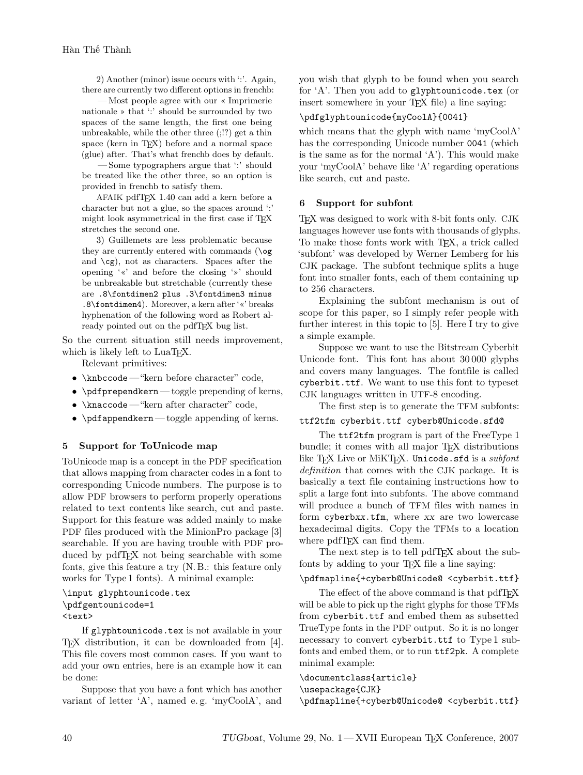2) Another (minor) issue occurs with ':'. Again, there are currently two different options in frenchb:

— Most people agree with our « Imprimerie nationale » that ':' should be surrounded by two spaces of the same length, the first one being unbreakable, while the other three (;!?) get a thin space (kern in T<sub>EX</sub>) before and a normal space (glue) after. That's what frenchb does by default.

— Some typographers argue that ':' should be treated like the other three, so an option is provided in frenchb to satisfy them.

AFAIK pdfTEX 1.40 can add a kern before a character but not a glue, so the spaces around ':' might look asymmetrical in the first case if TFX stretches the second one.

3) Guillemets are less problematic because they are currently entered with commands (\og and  $\csc$ ), not as characters. Spaces after the opening '«' and before the closing '»' should be unbreakable but stretchable (currently these are .8\fontdimen2 plus .3\fontdimen3 minus .8\fontdimen4). Moreover, a kern after '«' breaks hyphenation of the following word as Robert already pointed out on the pdfTEX bug list.

So the current situation still needs improvement, which is likely left to LuaT<sub>F</sub>X.

Relevant primitives:

- \knbccode "kern before character" code,
- \pdfprependkern toggle prepending of kerns,
- \knaccode "kern after character" code,
- \pdfappendkern toggle appending of kerns.

# 5 Support for ToUnicode map

ToUnicode map is a concept in the PDF specification that allows mapping from character codes in a font to corresponding Unicode numbers. The purpose is to allow PDF browsers to perform properly operations related to text contents like search, cut and paste. Support for this feature was added mainly to make PDF files produced with the MinionPro package [3] searchable. If you are having trouble with PDF produced by pdfTEX not being searchable with some fonts, give this feature a try (N. B.: this feature only works for Type 1 fonts). A minimal example:

```
\input glyphtounicode.tex
\pdfgentounicode=1
<text>
```
If glyphtounicode.tex is not available in your TEX distribution, it can be downloaded from [4]. This file covers most common cases. If you want to add your own entries, here is an example how it can be done:

Suppose that you have a font which has another variant of letter 'A', named e. g. 'myCoolA', and you wish that glyph to be found when you search for 'A'. Then you add to glyphtounicode.tex (or insert somewhere in your TEX file) a line saying:

## \pdfglyphtounicode{myCoolA}{0041}

which means that the glyph with name 'myCoolA' has the corresponding Unicode number 0041 (which is the same as for the normal 'A'). This would make your 'myCoolA' behave like 'A' regarding operations like search, cut and paste.

## 6 Support for subfont

TEX was designed to work with 8-bit fonts only. CJK languages however use fonts with thousands of glyphs. To make those fonts work with T<sub>E</sub>X, a trick called 'subfont' was developed by Werner Lemberg for his CJK package. The subfont technique splits a huge font into smaller fonts, each of them containing up to 256 characters.

Explaining the subfont mechanism is out of scope for this paper, so I simply refer people with further interest in this topic to [5]. Here I try to give a simple example.

Suppose we want to use the Bitstream Cyberbit Unicode font. This font has about 30 000 glyphs and covers many languages. The fontfile is called cyberbit.ttf. We want to use this font to typeset CJK languages written in UTF-8 encoding.

The first step is to generate the TFM subfonts: ttf2tfm cyberbit.ttf cyberb@Unicode.sfd@

The ttf2tfm program is part of the FreeType 1 bundle; it comes with all major T<sub>E</sub>X distributions

like T<sub>E</sub>X Live or MiKT<sub>E</sub>X. Unicode.sfd is a *subfont* definition that comes with the CJK package. It is basically a text file containing instructions how to split a large font into subfonts. The above command will produce a bunch of TFM files with names in form cyberbxx.tfm, where xx are two lowercase hexadecimal digits. Copy the TFMs to a location where  $pdfTeX$  can find them.

The next step is to tell pdfT<sub>E</sub>X about the subfonts by adding to your TEX file a line saying:

# \pdfmapline{+cyberb@Unicode@ <cyberbit.ttf}

The effect of the above command is that pdfT<sub>E</sub>X will be able to pick up the right glyphs for those TFMs from cyberbit.ttf and embed them as subsetted TrueType fonts in the PDF output. So it is no longer necessary to convert cyberbit.ttf to Type 1 subfonts and embed them, or to run ttf2pk. A complete minimal example:

#### \documentclass{article} \usepackage{CJK}

\pdfmapline{+cyberb@Unicode@ <cyberbit.ttf}